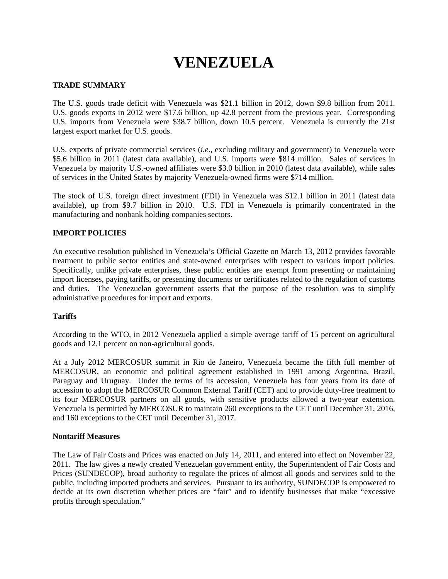# **VENEZUELA**

## **TRADE SUMMARY**

The U.S. goods trade deficit with Venezuela was \$21.1 billion in 2012, down \$9.8 billion from 2011. U.S. goods exports in 2012 were \$17.6 billion, up 42.8 percent from the previous year. Corresponding U.S. imports from Venezuela were \$38.7 billion, down 10.5 percent. Venezuela is currently the 21st largest export market for U.S. goods.

U.S. exports of private commercial services (*i.e*., excluding military and government) to Venezuela were \$5.6 billion in 2011 (latest data available), and U.S. imports were \$814 million. Sales of services in Venezuela by majority U.S.-owned affiliates were \$3.0 billion in 2010 (latest data available), while sales of services in the United States by majority Venezuela-owned firms were \$714 million.

The stock of U.S. foreign direct investment (FDI) in Venezuela was \$12.1 billion in 2011 (latest data available), up from \$9.7 billion in 2010. U.S. FDI in Venezuela is primarily concentrated in the manufacturing and nonbank holding companies sectors.

## **IMPORT POLICIES**

An executive resolution published in Venezuela's Official Gazette on March 13, 2012 provides favorable treatment to public sector entities and state-owned enterprises with respect to various import policies. Specifically, unlike private enterprises, these public entities are exempt from presenting or maintaining import licenses, paying tariffs, or presenting documents or certificates related to the regulation of customs and duties. The Venezuelan government asserts that the purpose of the resolution was to simplify administrative procedures for import and exports.

#### **Tariffs**

According to the WTO, in 2012 Venezuela applied a simple average tariff of 15 percent on agricultural goods and 12.1 percent on non-agricultural goods.

At a July 2012 MERCOSUR summit in Rio de Janeiro, Venezuela became the fifth full member of MERCOSUR, an economic and political agreement established in 1991 among Argentina, Brazil, Paraguay and Uruguay. Under the terms of its accession, Venezuela has four years from its date of accession to adopt the MERCOSUR Common External Tariff (CET) and to provide duty-free treatment to its four MERCOSUR partners on all goods, with sensitive products allowed a two-year extension. Venezuela is permitted by MERCOSUR to maintain 260 exceptions to the CET until December 31, 2016, and 160 exceptions to the CET until December 31, 2017.

#### **Nontariff Measures**

The Law of Fair Costs and Prices was enacted on July 14, 2011, and entered into effect on November 22, 2011. The law gives a newly created Venezuelan government entity, the Superintendent of Fair Costs and Prices (SUNDECOP), broad authority to regulate the prices of almost all goods and services sold to the public, including imported products and services. Pursuant to its authority, SUNDECOP is empowered to decide at its own discretion whether prices are "fair" and to identify businesses that make "excessive profits through speculation."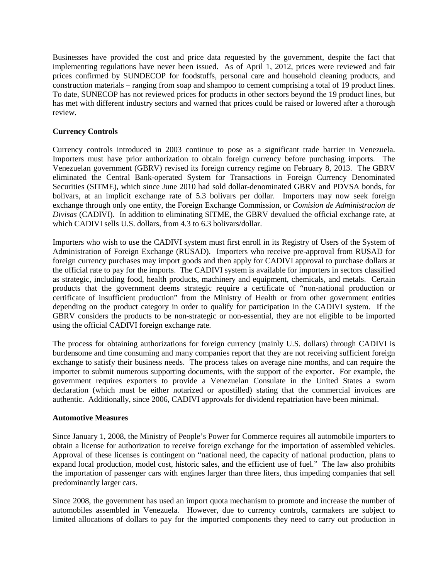Businesses have provided the cost and price data requested by the government, despite the fact that implementing regulations have never been issued. As of April 1, 2012, prices were reviewed and fair prices confirmed by SUNDECOP for foodstuffs, personal care and household cleaning products, and construction materials – ranging from soap and shampoo to cement comprising a total of 19 product lines. To date, SUNECOP has not reviewed prices for products in other sectors beyond the 19 product lines, but has met with different industry sectors and warned that prices could be raised or lowered after a thorough review.

# **Currency Controls**

Currency controls introduced in 2003 continue to pose as a significant trade barrier in Venezuela. Importers must have prior authorization to obtain foreign currency before purchasing imports. The Venezuelan government (GBRV) revised its foreign currency regime on February 8, 2013. The GBRV eliminated the Central Bank-operated System for Transactions in Foreign Currency Denominated Securities (SITME), which since June 2010 had sold dollar-denominated GBRV and PDVSA bonds, for bolivars, at an implicit exchange rate of 5.3 bolivars per dollar. Importers may now seek foreign exchange through only one entity, the Foreign Exchange Commission, or *Comision de Administracion de Divisas* (CADIVI). In addition to eliminating SITME, the GBRV devalued the official exchange rate, at which CADIVI sells U.S. dollars, from 4.3 to 6.3 bolivars/dollar.

Importers who wish to use the CADIVI system must first enroll in its Registry of Users of the System of Administration of Foreign Exchange (RUSAD). Importers who receive pre-approval from RUSAD for foreign currency purchases may import goods and then apply for CADIVI approval to purchase dollars at the official rate to pay for the imports. The CADIVI system is available for importers in sectors classified as strategic, including food, health products, machinery and equipment, chemicals, and metals. Certain products that the government deems strategic require a certificate of "non-national production or certificate of insufficient production" from the Ministry of Health or from other government entities depending on the product category in order to qualify for participation in the CADIVI system. If the GBRV considers the products to be non-strategic or non-essential, they are not eligible to be imported using the official CADIVI foreign exchange rate.

The process for obtaining authorizations for foreign currency (mainly U.S. dollars) through CADIVI is burdensome and time consuming and many companies report that they are not receiving sufficient foreign exchange to satisfy their business needs. The process takes on average nine months, and can require the importer to submit numerous supporting documents, with the support of the exporter. For example, the government requires exporters to provide a Venezuelan Consulate in the United States a sworn declaration (which must be either notarized or apostilled) stating that the commercial invoices are authentic. Additionally, since 2006, CADIVI approvals for dividend repatriation have been minimal.

#### **Automotive Measures**

Since January 1, 2008, the Ministry of People's Power for Commerce requires all automobile importers to obtain a license for authorization to receive foreign exchange for the importation of assembled vehicles. Approval of these licenses is contingent on "national need, the capacity of national production, plans to expand local production, model cost, historic sales, and the efficient use of fuel." The law also prohibits the importation of passenger cars with engines larger than three liters, thus impeding companies that sell predominantly larger cars.

Since 2008, the government has used an import quota mechanism to promote and increase the number of automobiles assembled in Venezuela. However, due to currency controls, carmakers are subject to limited allocations of dollars to pay for the imported components they need to carry out production in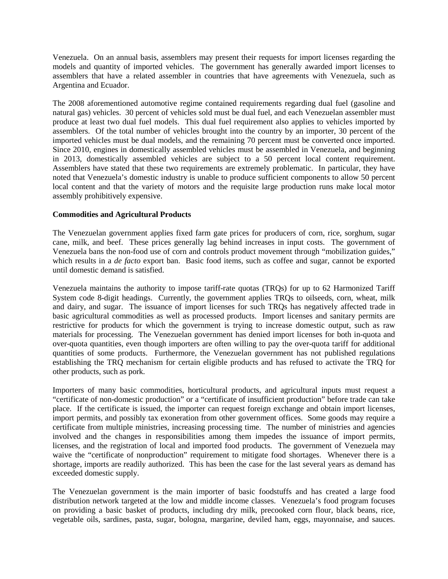Venezuela. On an annual basis, assemblers may present their requests for import licenses regarding the models and quantity of imported vehicles. The government has generally awarded import licenses to assemblers that have a related assembler in countries that have agreements with Venezuela, such as Argentina and Ecuador.

The 2008 aforementioned automotive regime contained requirements regarding dual fuel (gasoline and natural gas) vehicles. 30 percent of vehicles sold must be dual fuel, and each Venezuelan assembler must produce at least two dual fuel models. This dual fuel requirement also applies to vehicles imported by assemblers. Of the total number of vehicles brought into the country by an importer, 30 percent of the imported vehicles must be dual models, and the remaining 70 percent must be converted once imported. Since 2010, engines in domestically assembled vehicles must be assembled in Venezuela, and beginning in 2013, domestically assembled vehicles are subject to a 50 percent local content requirement. Assemblers have stated that these two requirements are extremely problematic. In particular, they have noted that Venezuela's domestic industry is unable to produce sufficient components to allow 50 percent local content and that the variety of motors and the requisite large production runs make local motor assembly prohibitively expensive.

#### **Commodities and Agricultural Products**

The Venezuelan government applies fixed farm gate prices for producers of corn, rice, sorghum, sugar cane, milk, and beef. These prices generally lag behind increases in input costs. The government of Venezuela bans the non-food use of corn and controls product movement through "mobilization guides," which results in a *de facto* export ban. Basic food items, such as coffee and sugar, cannot be exported until domestic demand is satisfied.

Venezuela maintains the authority to impose tariff-rate quotas (TRQs) for up to 62 Harmonized Tariff System code 8-digit headings. Currently, the government applies TRQs to oilseeds, corn, wheat, milk and dairy, and sugar. The issuance of import licenses for such TRQs has negatively affected trade in basic agricultural commodities as well as processed products. Import licenses and sanitary permits are restrictive for products for which the government is trying to increase domestic output, such as raw materials for processing. The Venezuelan government has denied import licenses for both in-quota and over-quota quantities, even though importers are often willing to pay the over-quota tariff for additional quantities of some products. Furthermore, the Venezuelan government has not published regulations establishing the TRQ mechanism for certain eligible products and has refused to activate the TRQ for other products, such as pork.

Importers of many basic commodities, horticultural products, and agricultural inputs must request a "certificate of non-domestic production" or a "certificate of insufficient production" before trade can take place. If the certificate is issued, the importer can request foreign exchange and obtain import licenses, import permits, and possibly tax exoneration from other government offices. Some goods may require a certificate from multiple ministries, increasing processing time. The number of ministries and agencies involved and the changes in responsibilities among them impedes the issuance of import permits, licenses, and the registration of local and imported food products. The government of Venezuela may waive the "certificate of nonproduction" requirement to mitigate food shortages. Whenever there is a shortage, imports are readily authorized. This has been the case for the last several years as demand has exceeded domestic supply.

The Venezuelan government is the main importer of basic foodstuffs and has created a large food distribution network targeted at the low and middle income classes. Venezuela's food program focuses on providing a basic basket of products, including dry milk, precooked corn flour, black beans, rice, vegetable oils, sardines, pasta, sugar, bologna, margarine, deviled ham, eggs, mayonnaise, and sauces.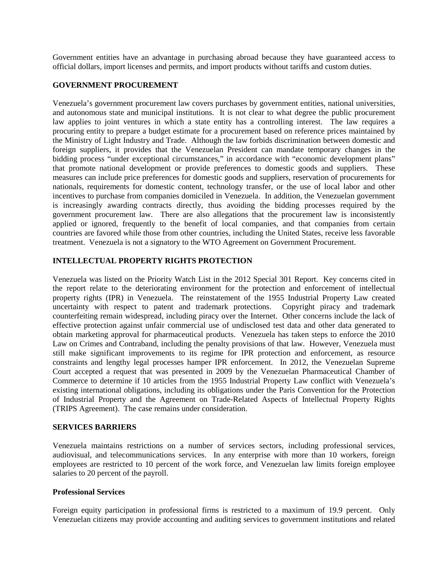Government entities have an advantage in purchasing abroad because they have guaranteed access to official dollars, import licenses and permits, and import products without tariffs and custom duties.

#### **GOVERNMENT PROCUREMENT**

Venezuela's government procurement law covers purchases by government entities, national universities, and autonomous state and municipal institutions. It is not clear to what degree the public procurement law applies to joint ventures in which a state entity has a controlling interest. The law requires a procuring entity to prepare a budget estimate for a procurement based on reference prices maintained by the Ministry of Light Industry and Trade. Although the law forbids discrimination between domestic and foreign suppliers, it provides that the Venezuelan President can mandate temporary changes in the bidding process "under exceptional circumstances," in accordance with "economic development plans" that promote national development or provide preferences to domestic goods and suppliers. These measures can include price preferences for domestic goods and suppliers, reservation of procurements for nationals, requirements for domestic content, technology transfer, or the use of local labor and other incentives to purchase from companies domiciled in Venezuela. In addition, the Venezuelan government is increasingly awarding contracts directly, thus avoiding the bidding processes required by the government procurement law. There are also allegations that the procurement law is inconsistently applied or ignored, frequently to the benefit of local companies, and that companies from certain countries are favored while those from other countries, including the United States, receive less favorable treatment. Venezuela is not a signatory to the WTO Agreement on Government Procurement.

## **INTELLECTUAL PROPERTY RIGHTS PROTECTION**

Venezuela was listed on the Priority Watch List in the 2012 Special 301 Report. Key concerns cited in the report relate to the deteriorating environment for the protection and enforcement of intellectual property rights (IPR) in Venezuela. The reinstatement of the 1955 Industrial Property Law created uncertainty with respect to patent and trademark protections. Copyright piracy and trademark counterfeiting remain widespread, including piracy over the Internet. Other concerns include the lack of effective protection against unfair commercial use of undisclosed test data and other data generated to obtain marketing approval for pharmaceutical products. Venezuela has taken steps to enforce the 2010 Law on Crimes and Contraband, including the penalty provisions of that law. However, Venezuela must still make significant improvements to its regime for IPR protection and enforcement, as resource constraints and lengthy legal processes hamper IPR enforcement. In 2012, the Venezuelan Supreme Court accepted a request that was presented in 2009 by the Venezuelan Pharmaceutical Chamber of Commerce to determine if 10 articles from the 1955 Industrial Property Law conflict with Venezuela's existing international obligations, including its obligations under the Paris Convention for the Protection of Industrial Property and the Agreement on Trade-Related Aspects of Intellectual Property Rights (TRIPS Agreement). The case remains under consideration.

#### **SERVICES BARRIERS**

Venezuela maintains restrictions on a number of services sectors, including professional services, audiovisual, and telecommunications services. In any enterprise with more than 10 workers, foreign employees are restricted to 10 percent of the work force, and Venezuelan law limits foreign employee salaries to 20 percent of the payroll.

#### **Professional Services**

Foreign equity participation in professional firms is restricted to a maximum of 19.9 percent. Only Venezuelan citizens may provide accounting and auditing services to government institutions and related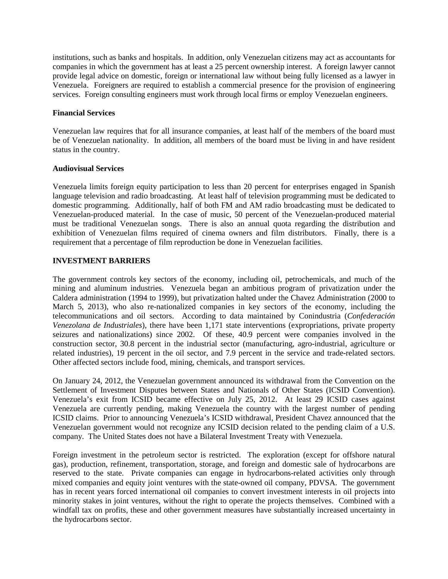institutions, such as banks and hospitals. In addition, only Venezuelan citizens may act as accountants for companies in which the government has at least a 25 percent ownership interest. A foreign lawyer cannot provide legal advice on domestic, foreign or international law without being fully licensed as a lawyer in Venezuela. Foreigners are required to establish a commercial presence for the provision of engineering services. Foreign consulting engineers must work through local firms or employ Venezuelan engineers.

## **Financial Services**

Venezuelan law requires that for all insurance companies, at least half of the members of the board must be of Venezuelan nationality. In addition, all members of the board must be living in and have resident status in the country.

#### **Audiovisual Services**

Venezuela limits foreign equity participation to less than 20 percent for enterprises engaged in Spanish language television and radio broadcasting. At least half of television programming must be dedicated to domestic programming. Additionally, half of both FM and AM radio broadcasting must be dedicated to Venezuelan-produced material. In the case of music, 50 percent of the Venezuelan-produced material must be traditional Venezuelan songs. There is also an annual quota regarding the distribution and exhibition of Venezuelan films required of cinema owners and film distributors. Finally, there is a requirement that a percentage of film reproduction be done in Venezuelan facilities.

# **INVESTMENT BARRIERS**

The government controls key sectors of the economy, including oil, petrochemicals, and much of the mining and aluminum industries. Venezuela began an ambitious program of privatization under the Caldera administration (1994 to 1999), but privatization halted under the Chavez Administration (2000 to March 5, 2013), who also re-nationalized companies in key sectors of the economy, including the telecommunications and oil sectors. According to data maintained by Conindustria (*Confederación Venezolana de Industriales*), there have been 1,171 state interventions (expropriations, private property seizures and nationalizations) since 2002. Of these, 40.9 percent were companies involved in the construction sector, 30.8 percent in the industrial sector (manufacturing, agro-industrial, agriculture or related industries), 19 percent in the oil sector, and 7.9 percent in the service and trade-related sectors. Other affected sectors include food, mining, chemicals, and transport services.

On January 24, 2012, the Venezuelan government announced its withdrawal from the Convention on the Settlement of Investment Disputes between States and Nationals of Other States (ICSID Convention). Venezuela's exit from ICSID became effective on July 25, 2012. At least 29 ICSID cases against Venezuela are currently pending, making Venezuela the country with the largest number of pending ICSID claims. Prior to announcing Venezuela's ICSID withdrawal, President Chavez announced that the Venezuelan government would not recognize any ICSID decision related to the pending claim of a U.S. company. The United States does not have a Bilateral Investment Treaty with Venezuela.

Foreign investment in the petroleum sector is restricted. The exploration (except for offshore natural gas), production, refinement, transportation, storage, and foreign and domestic sale of hydrocarbons are reserved to the state. Private companies can engage in hydrocarbons-related activities only through mixed companies and equity joint ventures with the state-owned oil company, PDVSA. The government has in recent years forced international oil companies to convert investment interests in oil projects into minority stakes in joint ventures, without the right to operate the projects themselves. Combined with a windfall tax on profits, these and other government measures have substantially increased uncertainty in the hydrocarbons sector.